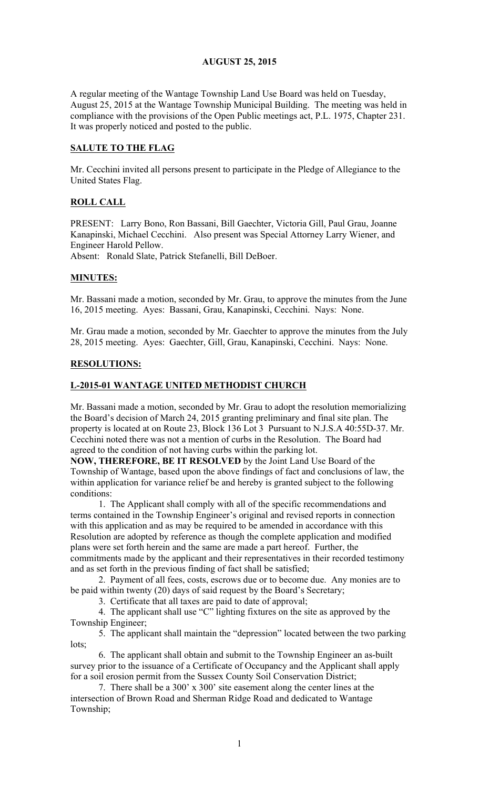#### AUGUST 25, 2015

A regular meeting of the Wantage Township Land Use Board was held on Tuesday, August 25, 2015 at the Wantage Township Municipal Building. The meeting was held in compliance with the provisions of the Open Public meetings act, P.L. 1975, Chapter 231. It was properly noticed and posted to the public.

#### SALUTE TO THE FLAG

Mr. Cecchini invited all persons present to participate in the Pledge of Allegiance to the United States Flag.

# ROLL CALL

PRESENT: Larry Bono, Ron Bassani, Bill Gaechter, Victoria Gill, Paul Grau, Joanne Kanapinski, Michael Cecchini. Also present was Special Attorney Larry Wiener, and Engineer Harold Pellow.

Absent: Ronald Slate, Patrick Stefanelli, Bill DeBoer.

#### MINUTES:

Mr. Bassani made a motion, seconded by Mr. Grau, to approve the minutes from the June 16, 2015 meeting. Ayes: Bassani, Grau, Kanapinski, Cecchini. Nays: None.

Mr. Grau made a motion, seconded by Mr. Gaechter to approve the minutes from the July 28, 2015 meeting. Ayes: Gaechter, Gill, Grau, Kanapinski, Cecchini. Nays: None.

#### RESOLUTIONS:

#### L-2015-01 WANTAGE UNITED METHODIST CHURCH

Mr. Bassani made a motion, seconded by Mr. Grau to adopt the resolution memorializing the Board's decision of March 24, 2015 granting preliminary and final site plan. The property is located at on Route 23, Block 136 Lot 3 Pursuant to N.J.S.A 40:55D-37. Mr. Cecchini noted there was not a mention of curbs in the Resolution. The Board had agreed to the condition of not having curbs within the parking lot.

NOW, THEREFORE, BE IT RESOLVED by the Joint Land Use Board of the Township of Wantage, based upon the above findings of fact and conclusions of law, the within application for variance relief be and hereby is granted subject to the following conditions:

1. The Applicant shall comply with all of the specific recommendations and terms contained in the Township Engineer's original and revised reports in connection with this application and as may be required to be amended in accordance with this Resolution are adopted by reference as though the complete application and modified plans were set forth herein and the same are made a part hereof. Further, the commitments made by the applicant and their representatives in their recorded testimony and as set forth in the previous finding of fact shall be satisfied;

2. Payment of all fees, costs, escrows due or to become due. Any monies are to be paid within twenty (20) days of said request by the Board's Secretary;

3. Certificate that all taxes are paid to date of approval;

4. The applicant shall use "C" lighting fixtures on the site as approved by the Township Engineer;

5. The applicant shall maintain the "depression" located between the two parking lots;

6. The applicant shall obtain and submit to the Township Engineer an as-built survey prior to the issuance of a Certificate of Occupancy and the Applicant shall apply for a soil erosion permit from the Sussex County Soil Conservation District;

7. There shall be a 300' x 300' site easement along the center lines at the intersection of Brown Road and Sherman Ridge Road and dedicated to Wantage Township;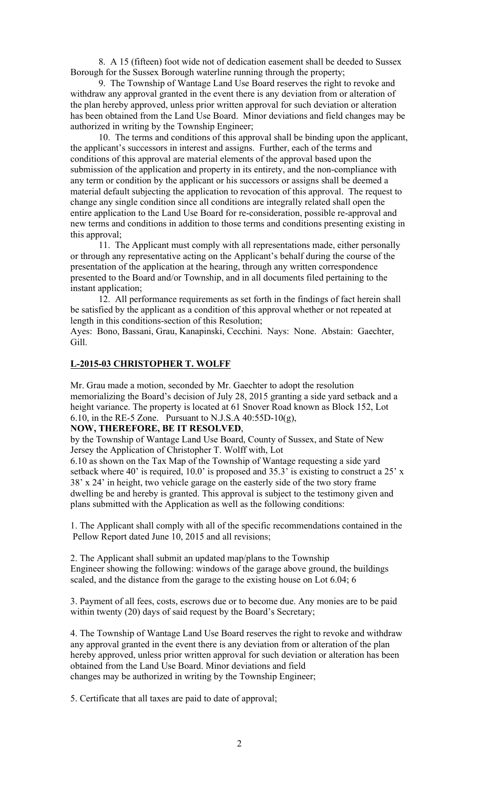8. A 15 (fifteen) foot wide not of dedication easement shall be deeded to Sussex Borough for the Sussex Borough waterline running through the property;

9. The Township of Wantage Land Use Board reserves the right to revoke and withdraw any approval granted in the event there is any deviation from or alteration of the plan hereby approved, unless prior written approval for such deviation or alteration has been obtained from the Land Use Board. Minor deviations and field changes may be authorized in writing by the Township Engineer;

10. The terms and conditions of this approval shall be binding upon the applicant, the applicant's successors in interest and assigns. Further, each of the terms and conditions of this approval are material elements of the approval based upon the submission of the application and property in its entirety, and the non-compliance with any term or condition by the applicant or his successors or assigns shall be deemed a material default subjecting the application to revocation of this approval. The request to change any single condition since all conditions are integrally related shall open the entire application to the Land Use Board for re-consideration, possible re-approval and new terms and conditions in addition to those terms and conditions presenting existing in this approval;

11. The Applicant must comply with all representations made, either personally or through any representative acting on the Applicant's behalf during the course of the presentation of the application at the hearing, through any written correspondence presented to the Board and/or Township, and in all documents filed pertaining to the instant application;

12. All performance requirements as set forth in the findings of fact herein shall be satisfied by the applicant as a condition of this approval whether or not repeated at length in this conditions-section of this Resolution;

Ayes: Bono, Bassani, Grau, Kanapinski, Cecchini. Nays: None. Abstain: Gaechter, Gill.

# L-2015-03 CHRISTOPHER T. WOLFF

Mr. Grau made a motion, seconded by Mr. Gaechter to adopt the resolution memorializing the Board's decision of July 28, 2015 granting a side yard setback and a height variance. The property is located at 61 Snover Road known as Block 152, Lot 6.10, in the RE-5 Zone. Pursuant to N.J.S.A  $40:55D-10(g)$ ,

#### NOW, THEREFORE, BE IT RESOLVED,

by the Township of Wantage Land Use Board, County of Sussex, and State of New Jersey the Application of Christopher T. Wolff with, Lot

6.10 as shown on the Tax Map of the Township of Wantage requesting a side yard setback where 40' is required, 10.0' is proposed and 35.3' is existing to construct a 25' x 38' x 24' in height, two vehicle garage on the easterly side of the two story frame dwelling be and hereby is granted. This approval is subject to the testimony given and plans submitted with the Application as well as the following conditions:

1. The Applicant shall comply with all of the specific recommendations contained in the Pellow Report dated June 10, 2015 and all revisions;

2. The Applicant shall submit an updated map/plans to the Township Engineer showing the following: windows of the garage above ground, the buildings scaled, and the distance from the garage to the existing house on Lot 6.04; 6

3. Payment of all fees, costs, escrows due or to become due. Any monies are to be paid within twenty (20) days of said request by the Board's Secretary;

4. The Township of Wantage Land Use Board reserves the right to revoke and withdraw any approval granted in the event there is any deviation from or alteration of the plan hereby approved, unless prior written approval for such deviation or alteration has been obtained from the Land Use Board. Minor deviations and field changes may be authorized in writing by the Township Engineer;

5. Certificate that all taxes are paid to date of approval;